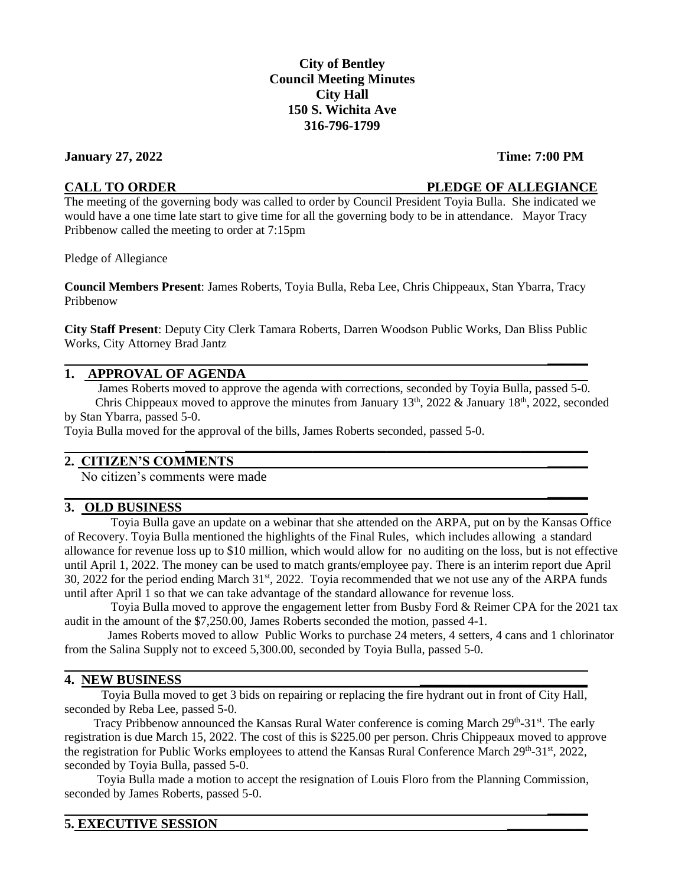# **City of Bentley Council Meeting Minutes City Hall 150 S. Wichita Ave 316-796-1799**

## **January 27, 2022 Time: 7:00 PM**

# **CALL TO ORDER PLEDGE OF ALLEGIANCE**

**\_\_\_\_\_\_**

**\_\_\_\_\_\_**

The meeting of the governing body was called to order by Council President Toyia Bulla. She indicated we would have a one time late start to give time for all the governing body to be in attendance. Mayor Tracy Pribbenow called the meeting to order at 7:15pm

Pledge of Allegiance

**Council Members Present**: James Roberts, Toyia Bulla, Reba Lee, Chris Chippeaux, Stan Ybarra, Tracy Pribbenow

**City Staff Present**: Deputy City Clerk Tamara Roberts, Darren Woodson Public Works, Dan Bliss Public Works, City Attorney Brad Jantz

## **1. APPROVAL OF AGENDA**

James Roberts moved to approve the agenda with corrections, seconded by Toyia Bulla, passed 5-0.

**\_\_\_\_\_\_\_\_\_\_\_\_\_\_\_\_\_\_\_\_\_\_\_\_\_\_\_\_\_\_\_\_\_\_\_\_\_\_\_\_\_\_\_\_\_\_\_\_\_\_\_\_\_\_\_\_\_\_\_\_**

Chris Chippeaux moved to approve the minutes from January  $13<sup>th</sup>$ , 2022 & January  $18<sup>th</sup>$ , 2022, seconded by Stan Ybarra, passed 5-0.

Toyia Bulla moved for the approval of the bills, James Roberts seconded, passed 5-0.

# **2. CITIZEN'S COMMENTS \_\_\_\_\_\_**

No citizen's comments were made

# **3. OLD BUSINESS**

 Toyia Bulla gave an update on a webinar that she attended on the ARPA, put on by the Kansas Office of Recovery. Toyia Bulla mentioned the highlights of the Final Rules, which includes allowing a standard allowance for revenue loss up to \$10 million, which would allow for no auditing on the loss, but is not effective until April 1, 2022. The money can be used to match grants/employee pay. There is an interim report due April 30, 2022 for the period ending March 31st, 2022. Toyia recommended that we not use any of the ARPA funds until after April 1 so that we can take advantage of the standard allowance for revenue loss.

 Toyia Bulla moved to approve the engagement letter from Busby Ford & Reimer CPA for the 2021 tax audit in the amount of the \$7,250.00, James Roberts seconded the motion, passed 4-1.

 James Roberts moved to allow Public Works to purchase 24 meters, 4 setters, 4 cans and 1 chlorinator from the Salina Supply not to exceed 5,300.00, seconded by Toyia Bulla, passed 5-0.

#### **4. NEW BUSINESS \_\_\_\_\_\_\_\_\_\_\_\_\_\_\_\_\_\_\_\_\_\_\_\_\_**

 Toyia Bulla moved to get 3 bids on repairing or replacing the fire hydrant out in front of City Hall, seconded by Reba Lee, passed 5-0.

Tracy Pribbenow announced the Kansas Rural Water conference is coming March 29<sup>th</sup>-31<sup>st</sup>. The early registration is due March 15, 2022. The cost of this is \$225.00 per person. Chris Chippeaux moved to approve the registration for Public Works employees to attend the Kansas Rural Conference March 29<sup>th</sup>-31<sup>st</sup>, 2022, seconded by Toyia Bulla, passed 5-0.

 Toyia Bulla made a motion to accept the resignation of Louis Floro from the Planning Commission, seconded by James Roberts, passed 5-0.

**\_\_\_\_\_\_**

# **5. EXECUTIVE SESSION \_\_\_\_\_\_\_\_\_\_\_\_**